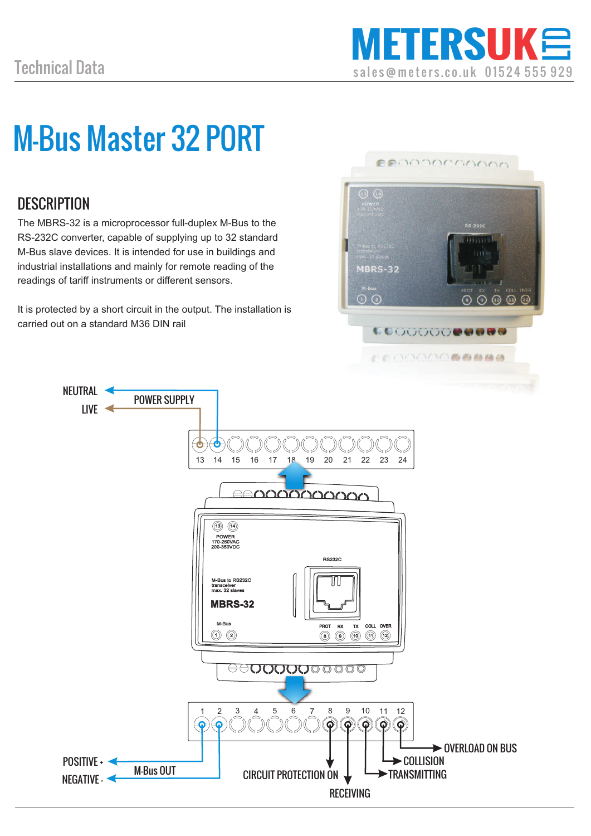# M-Bus Master 32 PORT

#### **DESCRIPTION**

The MBRS-32 is a microprocessor full-duplex M-Bus to the RS-232C converter, capable of supplying up to 32 standard M-Bus slave devices. It is intended for use in buildings and industrial installations and mainly for remote reading of the readings of tariff instruments or different sensors.

It is protected by a short circuit in the output. The installation is carried out on a standard M36 DIN rail